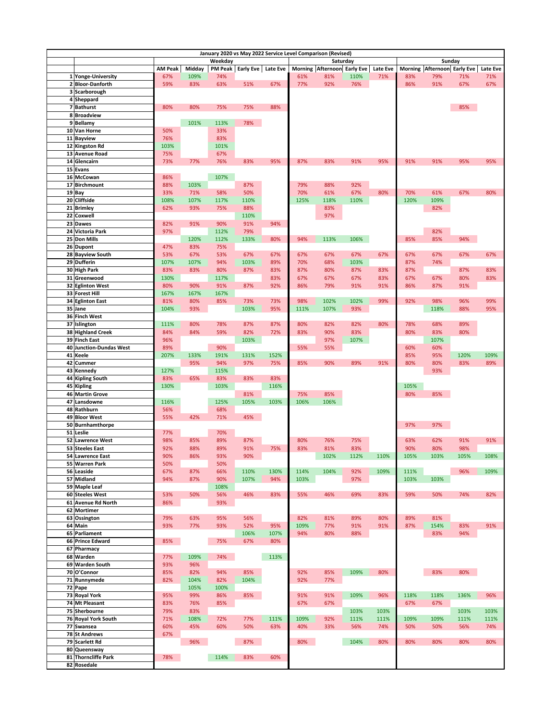|    |                                     |                       |                | January 2020 vs May 2022 Service Level Comparison (Revised) |                      |             |            |                                    |             |                        |             |             |                                        |                        |
|----|-------------------------------------|-----------------------|----------------|-------------------------------------------------------------|----------------------|-------------|------------|------------------------------------|-------------|------------------------|-------------|-------------|----------------------------------------|------------------------|
|    |                                     |                       |                | Weekday                                                     |                      |             |            | Saturday                           |             |                        |             |             | Sunday                                 |                        |
|    | 1 Yonge-University                  | <b>AM Peak</b><br>67% | Midday<br>109% | PM Peak<br>74%                                              | Early Eve   Late Eve |             | 61%        | Morning Afternoon Early Eve<br>81% | 110%        | <b>Late Eve</b><br>71% | 83%         | 79%         | Morning   Afternoon Early Eve  <br>71% | <b>Late Eve</b><br>71% |
|    | 2 Bloor-Danforth                    | 59%                   | 83%            | 63%                                                         | 51%                  | 67%         | 77%        | 92%                                | 76%         |                        | 86%         | 91%         | 67%                                    | 67%                    |
|    | 3 Scarborough                       |                       |                |                                                             |                      |             |            |                                    |             |                        |             |             |                                        |                        |
|    | 4 Sheppard                          |                       |                |                                                             |                      |             |            |                                    |             |                        |             |             |                                        |                        |
|    | 7 Bathurst                          | 80%                   | 80%            | 75%                                                         | 75%                  | 88%         |            |                                    |             |                        |             |             | 85%                                    |                        |
|    | 8 Broadview                         |                       |                |                                                             |                      |             |            |                                    |             |                        |             |             |                                        |                        |
|    | 9 Bellamy                           |                       | 101%           | 113%                                                        | 78%                  |             |            |                                    |             |                        |             |             |                                        |                        |
|    | 10 Van Horne                        | 50%                   |                | 33%                                                         |                      |             |            |                                    |             |                        |             |             |                                        |                        |
|    | 11 Bayview<br>12 Kingston Rd        | 76%<br>103%           |                | 83%<br>101%                                                 |                      |             |            |                                    |             |                        |             |             |                                        |                        |
|    | 13 Avenue Road                      | 75%                   |                | 67%                                                         |                      |             |            |                                    |             |                        |             |             |                                        |                        |
|    | 14 Glencairn                        | 73%                   | 77%            | 76%                                                         | 83%                  | 95%         | 87%        | 83%                                | 91%         | 95%                    | 91%         | 91%         | 95%                                    | 95%                    |
|    | 15 Evans                            |                       |                |                                                             |                      |             |            |                                    |             |                        |             |             |                                        |                        |
|    | 16 McCowan                          | 86%                   |                | 107%                                                        |                      |             |            |                                    |             |                        |             |             |                                        |                        |
|    | 17 Birchmount                       | 88%                   | 103%           |                                                             | 87%                  |             | 79%        | 88%                                | 92%         |                        |             |             |                                        |                        |
|    | 19 Bay                              | 33%                   | 71%            | 58%                                                         | 50%                  |             | 70%        | 61%                                | 67%         | 80%                    | 70%         | 61%         | 67%                                    | 80%                    |
|    | 20 Cliffside<br>21 Brimley          | 108%<br>62%           | 107%<br>93%    | 117%<br>75%                                                 | 110%<br>88%          |             | 125%       | 118%<br>83%                        | 110%        |                        | 120%        | 109%<br>82% |                                        |                        |
|    | 22 Coxwell                          |                       |                |                                                             | 110%                 |             |            | 97%                                |             |                        |             |             |                                        |                        |
|    | 23 Dawes                            | 82%                   | 91%            | 90%                                                         | 91%                  | 94%         |            |                                    |             |                        |             |             |                                        |                        |
|    | 24 Victoria Park                    | 97%                   |                | 112%                                                        | 79%                  |             |            |                                    |             |                        |             | 82%         |                                        |                        |
| 25 | <b>Don Mills</b>                    |                       | 120%           | 112%                                                        | 133%                 | 80%         | 94%        | 113%                               | 106%        |                        | 85%         | 85%         | 94%                                    |                        |
|    | 26 Dupont                           | 47%                   | 83%            | 75%                                                         |                      |             |            |                                    |             |                        |             |             |                                        |                        |
|    | 28 Bayview South<br>29 Dufferin     | 53%<br>107%           | 67%<br>107%    | 53%<br>94%                                                  | 67%<br>103%          | 67%<br>89%  | 67%<br>70% | 67%<br>68%                         | 67%<br>103% | 67%                    | 67%<br>87%  | 67%<br>74%  | 67%                                    | 67%                    |
|    | 30 High Park                        | 83%                   | 83%            | 80%                                                         | 87%                  | 83%         | 87%        | 80%                                | 87%         | 83%                    | 87%         |             | 87%                                    | 83%                    |
|    | 31 Greenwood                        | 130%                  |                | 117%                                                        |                      | 83%         | 67%        | 67%                                | 67%         | 83%                    | 67%         | 67%         | 80%                                    | 83%                    |
|    | 32 Eglinton West                    | 80%                   | 90%            | 91%                                                         | 87%                  | 92%         | 86%        | 79%                                | 91%         | 91%                    | 86%         | 87%         | 91%                                    |                        |
|    | 33 Forest Hill                      | 167%                  | 167%           | 167%                                                        |                      |             |            |                                    |             |                        |             |             |                                        |                        |
|    | 34 Eglinton East                    | 81%                   | 80%            | 85%                                                         | 73%                  | 73%         | 98%        | 102%                               | 102%        | 99%                    | 92%         | 98%         | 96%                                    | 99%                    |
|    | 35 Jane                             | 104%                  | 93%            |                                                             | 103%                 | 95%         | 111%       | 107%                               | 93%         |                        |             | 118%        | 88%                                    | 95%                    |
|    | 36 Finch West<br>37 Islington       | 111%                  | 80%            | 78%                                                         | 87%                  | 87%         | 80%        | 82%                                | 82%         | 80%                    | 78%         | 68%         | 89%                                    |                        |
|    | 38 Highland Creek                   | 84%                   | 84%            | 59%                                                         | 82%                  | 72%         | 83%        | 90%                                | 83%         |                        | 80%         | 83%         | 80%                                    |                        |
|    | 39 Finch East                       | 96%                   |                |                                                             | 103%                 |             |            | 97%                                | 107%        |                        |             | 107%        |                                        |                        |
|    | 40 Junction-Dundas West             | 89%                   |                | 90%                                                         |                      |             | 55%        | 55%                                |             |                        | 60%         | 60%         |                                        |                        |
|    | 41 Keele                            | 207%                  | 133%           | 191%                                                        | 131%                 | 152%        |            |                                    |             |                        | 85%         | 95%         | 120%                                   | 109%                   |
|    | 42 Cummer                           |                       | 95%            | 94%                                                         | 97%                  | 75%         | 85%        | 90%                                | 89%         | 91%                    | 80%         | 80%         | 83%                                    | 89%                    |
|    | 43 Kennedy                          | 127%                  |                | 115%                                                        |                      |             |            |                                    |             |                        |             | 93%         |                                        |                        |
|    | 44 Kipling South<br>45 Kipling      | 83%<br>130%           | 65%            | 83%<br>103%                                                 | 83%                  | 83%<br>116% |            |                                    |             |                        | 105%        |             |                                        |                        |
|    | 46 Martin Grove                     |                       |                |                                                             | 81%                  |             | 75%        | 85%                                |             |                        | 80%         | 85%         |                                        |                        |
|    | 47 Lansdowne                        | 116%                  |                | 125%                                                        | 105%                 | 103%        | 106%       | 106%                               |             |                        |             |             |                                        |                        |
|    | 48 Rathburn                         | 56%                   |                | 68%                                                         |                      |             |            |                                    |             |                        |             |             |                                        |                        |
|    | 49 Bloor West                       | 55%                   | 42%            | 71%                                                         | 45%                  |             |            |                                    |             |                        |             |             |                                        |                        |
|    | 50 Burnhamthorpe<br>51 Leslie       | 77%                   |                | 70%                                                         |                      |             |            |                                    |             |                        | 97%         | 97%         |                                        |                        |
|    | 52 Lawrence West                    | 98%                   | 85%            | 89%                                                         | 87%                  |             | 80%        | 76%                                | 75%         |                        | 63%         | 62%         | 91%                                    | 91%                    |
|    | 53 Steeles East                     | 92%                   | 88%            | 89%                                                         | 91%                  | 75%         | 83%        | 81%                                | 83%         |                        | 90%         | 80%         | 98%                                    |                        |
|    | 54 Lawrence East                    | 90%                   | 86%            | 93%                                                         | 90%                  |             |            | 102%                               | 112%        | 110%                   | 105%        | 103%        | 105%                                   | 108%                   |
|    | 55 Warren Park                      | 50%                   |                | 50%                                                         |                      |             |            |                                    |             |                        |             |             |                                        |                        |
|    | 56 Leaside                          | 67%                   | 87%            | 66%                                                         | 110%                 | 130%        | 114%       | 104%                               | 92%         | 109%                   | 111%        |             | 96%                                    | 109%                   |
|    | 57 Midland<br>59 Maple Leaf         | 94%                   | 87%            | 90%<br>108%                                                 | 107%                 | 94%         | 103%       |                                    | 97%         |                        | 103%        | 103%        |                                        |                        |
|    | 60 Steeles West                     | 53%                   | 50%            | 56%                                                         | 46%                  | 83%         | 55%        | 46%                                | 69%         | 83%                    | 59%         | 50%         | 74%                                    | 82%                    |
|    | 61 Avenue Rd North                  | 86%                   |                | 93%                                                         |                      |             |            |                                    |             |                        |             |             |                                        |                        |
|    | 62 Mortimer                         |                       |                |                                                             |                      |             |            |                                    |             |                        |             |             |                                        |                        |
|    | 63 Ossington                        | 79%                   | 63%            | 95%                                                         | 56%                  |             | 82%        | 81%                                | 89%         | 80%                    | 89%         | 81%         |                                        |                        |
|    | 64 Main                             | 93%                   | 77%            | 93%                                                         | 52%                  | 95%         | 109%       | 77%                                | 91%         | 91%                    | 87%         | 154%        | 83%                                    | 91%                    |
|    | 65 Parliament<br>66 Prince Edward   | 85%                   |                | 75%                                                         | 106%<br>67%          | 107%<br>80% | 94%        | 80%                                | 88%         |                        |             | 83%         | 94%                                    |                        |
|    | 67 Pharmacy                         |                       |                |                                                             |                      |             |            |                                    |             |                        |             |             |                                        |                        |
|    | 68 Warden                           | 77%                   | 109%           | 74%                                                         |                      | 113%        |            |                                    |             |                        |             |             |                                        |                        |
|    | 69 Warden South                     | 93%                   | 96%            |                                                             |                      |             |            |                                    |             |                        |             |             |                                        |                        |
|    | 70 O'Connor                         | 85%                   | 82%            | 94%                                                         | 85%                  |             | 92%        | 85%                                | 109%        | 80%                    |             | 83%         | 80%                                    |                        |
|    | 71 Runnymede                        | 82%                   | 104%           | 82%                                                         | 104%                 |             | 92%        | 77%                                |             |                        |             |             |                                        |                        |
|    | 72 Pape                             |                       | 105%           | 100%                                                        |                      |             |            |                                    |             |                        |             |             |                                        |                        |
|    | 73 Royal York<br>74 Mt Pleasant     | 95%<br>83%            | 99%<br>76%     | 86%<br>85%                                                  | 85%                  |             | 91%<br>67% | 91%<br>67%                         | 109%        | 96%                    | 118%<br>67% | 118%<br>67% | 136%                                   | 96%                    |
|    | 75 Sherbourne                       | 79%                   | 83%            |                                                             |                      |             |            |                                    | 103%        | 103%                   |             |             | 103%                                   | 103%                   |
|    | 76 Royal York South                 | 71%                   | 108%           | 72%                                                         | 77%                  | 111%        | 109%       | 92%                                | 111%        | 111%                   | 109%        | 109%        | 111%                                   | 111%                   |
|    | 77 Swansea                          | 60%                   | 45%            | 60%                                                         | 50%                  | 63%         | 40%        | 33%                                | 56%         | 74%                    | 50%         | 50%         | 56%                                    | 74%                    |
|    | 78 St Andrews                       | 67%                   |                |                                                             |                      |             |            |                                    |             |                        |             |             |                                        |                        |
|    | 79 Scarlett Rd                      |                       | 96%            |                                                             | 87%                  |             | 80%        |                                    | 104%        | 80%                    | 80%         | 80%         | 80%                                    | 80%                    |
|    | 80 Queensway<br>81 Thorncliffe Park | 78%                   |                | 114%                                                        | 83%                  | 60%         |            |                                    |             |                        |             |             |                                        |                        |
|    | 82 Rosedale                         |                       |                |                                                             |                      |             |            |                                    |             |                        |             |             |                                        |                        |
|    |                                     |                       |                |                                                             |                      |             |            |                                    |             |                        |             |             |                                        |                        |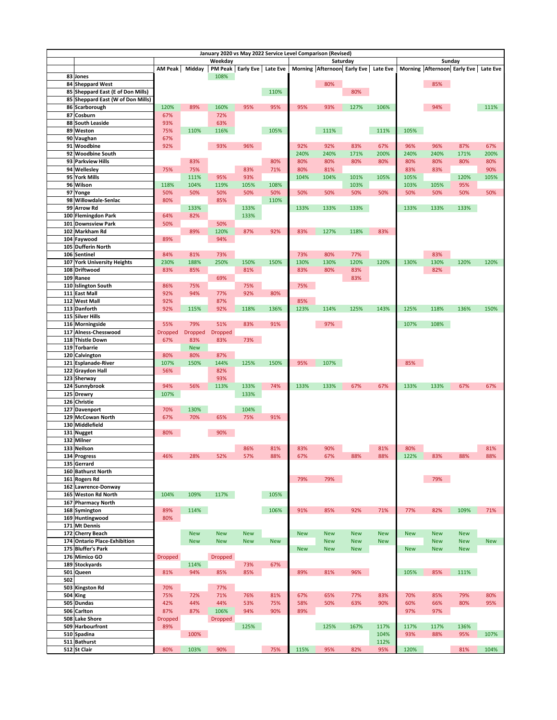|     | January 2020 vs May 2022 Service Level Comparison (Revised) |                |                   |                |                                |            |             |             |                                        |            |              |                                        |             |             |
|-----|-------------------------------------------------------------|----------------|-------------------|----------------|--------------------------------|------------|-------------|-------------|----------------------------------------|------------|--------------|----------------------------------------|-------------|-------------|
|     |                                                             |                |                   | Weekday        |                                |            |             |             | Saturdav                               |            |              | Sunday                                 |             |             |
|     |                                                             | <b>AM Peak</b> | Midday            |                | PM Peak   Early Eve   Late Eve |            |             |             | Morning Afternoon Early Eve   Late Eve |            |              | Morning Afternoon Early Eve   Late Eve |             |             |
|     | 83 Jones                                                    |                |                   | 108%           |                                |            |             |             |                                        |            |              |                                        |             |             |
|     | 84 Sheppard West<br>85 Sheppard East (E of Don Mills)       |                |                   |                |                                | 110%       |             | 80%         | 80%                                    |            |              | 85%                                    |             |             |
|     | 85 Sheppard East (W of Don Mills)                           |                |                   |                |                                |            |             |             |                                        |            |              |                                        |             |             |
|     | 86 Scarborough                                              | 120%           | 89%               | 160%           | 95%                            | 95%        | 95%         | 93%         | 127%                                   | 106%       |              | 94%                                    |             | 111%        |
|     | 87 Cosburn                                                  | 67%            |                   | 72%            |                                |            |             |             |                                        |            |              |                                        |             |             |
|     | 88 South Leaside                                            | 93%            |                   | 63%            |                                |            |             |             |                                        |            |              |                                        |             |             |
|     | 89 Weston                                                   | 75%            | 110%              | 116%           |                                | 105%       |             | 111%        |                                        | 111%       | 105%         |                                        |             |             |
|     | 90 Vaughan                                                  | 67%            |                   |                |                                |            |             |             |                                        |            |              |                                        |             |             |
|     | 91 Woodbine                                                 | 92%            |                   | 93%            | 96%                            |            | 92%         | 92%         | 83%                                    | 67%        | 96%          | 96%                                    | 87%         | 67%         |
|     | 92 Woodbine South                                           |                |                   |                |                                |            | 240%        | 240%        | 171%                                   | 200%       | 240%         | 240%                                   | 171%        | 200%        |
|     | 93 Parkview Hills                                           |                | 83%               |                |                                | 80%        | 80%         | 80%         | 80%                                    | 80%        | 80%          | 80%                                    | 80%         | 80%         |
|     | 94 Wellesley                                                | 75%            | 75%               |                | 83%                            | 71%        | 80%         | 81%         |                                        |            | 83%          | 83%                                    |             | 90%         |
|     | 95 York Mills<br>96 Wilson                                  | 118%           | 111%<br>104%      | 95%<br>119%    | 93%<br>105%                    | 108%       | 104%        | 104%        | 101%<br>103%                           | 105%       | 105%<br>103% | 105%                                   | 120%<br>95% | 105%        |
|     | 97 Yonge                                                    | 50%            | 50%               | 50%            | 50%                            | 50%        | 50%         | 50%         | 50%                                    | 50%        | 50%          | 50%                                    | 50%         | 50%         |
|     | 98 Willowdale-Senlac                                        | 80%            |                   | 85%            |                                | 110%       |             |             |                                        |            |              |                                        |             |             |
|     | 99 Arrow Rd                                                 |                | 133%              |                | 133%                           |            | 133%        | 133%        | 133%                                   |            | 133%         | 133%                                   | 133%        |             |
|     | 100 Flemingdon Park                                         | 64%            | 82%               |                | 133%                           |            |             |             |                                        |            |              |                                        |             |             |
| 101 | <b>Downsview Park</b>                                       | 50%            |                   | 50%            |                                |            |             |             |                                        |            |              |                                        |             |             |
|     | 102 Markham Rd                                              |                | 89%               | 120%           | 87%                            | 92%        | 83%         | 127%        | 118%                                   | 83%        |              |                                        |             |             |
|     | 104 Faywood                                                 | 89%            |                   | 94%            |                                |            |             |             |                                        |            |              |                                        |             |             |
| 105 | <b>Dufferin North</b>                                       |                |                   |                |                                |            |             |             |                                        |            |              |                                        |             |             |
| 107 | 106 Sentinel                                                | 84%            | 81%<br>188%       | 73%<br>250%    | 150%                           | 150%       | 73%<br>130% | 80%<br>130% | 77%<br>120%                            | 120%       | 130%         | 83%<br>130%                            | 120%        | 120%        |
|     | <b>York University Heights</b><br>108 Driftwood             | 230%<br>83%    | 85%               |                | 81%                            |            | 83%         | 80%         | 83%                                    |            |              | 82%                                    |             |             |
|     | 109 Ranee                                                   |                |                   | 69%            |                                |            |             |             | 83%                                    |            |              |                                        |             |             |
|     | 110 Islington South                                         | 86%            | 75%               |                | 75%                            |            | 75%         |             |                                        |            |              |                                        |             |             |
|     | 111 East Mall                                               | 92%            | 94%               | 77%            | 92%                            | 80%        |             |             |                                        |            |              |                                        |             |             |
|     | 112 West Mall                                               | 92%            |                   | 87%            |                                |            | 85%         |             |                                        |            |              |                                        |             |             |
|     | 113 Danforth                                                | 92%            | 115%              | 92%            | 118%                           | 136%       | 123%        | 114%        | 125%                                   | 143%       | 125%         | 118%                                   | 136%        | 150%        |
|     | 115 Silver Hills                                            |                |                   |                |                                |            |             |             |                                        |            |              |                                        |             |             |
|     | 116 Morningside                                             | 55%            | 79%               | 51%            | 83%                            | 91%        |             | 97%         |                                        |            | 107%         | 108%                                   |             |             |
| 117 | Alness-Chesswood                                            | Dropped        | <b>Dropped</b>    | <b>Dropped</b> |                                |            |             |             |                                        |            |              |                                        |             |             |
|     | 118 Thistle Down                                            | 67%            | 83%               | 83%            | 73%                            |            |             |             |                                        |            |              |                                        |             |             |
|     | 119 Torbarrie<br>120 Calvington                             | 80%            | <b>New</b><br>80% | 87%            |                                |            |             |             |                                        |            |              |                                        |             |             |
| 121 | <b>Esplanade-River</b>                                      | 107%           | 150%              | 144%           | 125%                           | 150%       | 95%         | 107%        |                                        |            | 85%          |                                        |             |             |
|     | 122 Graydon Hall                                            | 56%            |                   | 82%            |                                |            |             |             |                                        |            |              |                                        |             |             |
|     | 123 Sherway                                                 |                |                   | 93%            |                                |            |             |             |                                        |            |              |                                        |             |             |
|     | 124 Sunnybrook                                              | 94%            | 56%               | 113%           | 133%                           | 74%        | 133%        | 133%        | 67%                                    | 67%        | 133%         | 133%                                   | 67%         | 67%         |
|     | 125 Drewry                                                  | 107%           |                   |                | 133%                           |            |             |             |                                        |            |              |                                        |             |             |
|     | 126 Christie                                                |                |                   |                |                                |            |             |             |                                        |            |              |                                        |             |             |
| 127 | Davenport                                                   | 70%            | 130%              |                | 104%                           |            |             |             |                                        |            |              |                                        |             |             |
|     | 129 McCowan North                                           | 67%            | 70%               | 65%            | 75%                            | 91%        |             |             |                                        |            |              |                                        |             |             |
|     | 130 Middlefield<br>131 Nugget                               | 80%            |                   | 90%            |                                |            |             |             |                                        |            |              |                                        |             |             |
|     | 132 Milner                                                  |                |                   |                |                                |            |             |             |                                        |            |              |                                        |             |             |
|     | 133 Neilson                                                 |                |                   |                | 86%                            | 81%        | 83%         | 90%         |                                        | 81%        | 80%          |                                        |             | 81%         |
|     | 134 Progress                                                | 46%            | 28%               | 57%            | 57%                            | 88%        | 67%         | 67%         | 88%                                    | 88%        | 122%         | 920/                                   | 88%         | <b>QQ0/</b> |
|     | 135 Gerrard                                                 |                |                   |                |                                |            |             |             |                                        |            |              |                                        |             |             |
|     | 160 Bathurst North                                          |                |                   |                |                                |            |             |             |                                        |            |              |                                        |             |             |
|     | 161 Rogers Rd                                               |                |                   |                |                                |            | 79%         | 79%         |                                        |            |              | 79%                                    |             |             |
|     | 162 Lawrence-Donway                                         |                |                   |                |                                |            |             |             |                                        |            |              |                                        |             |             |
|     | 165 Weston Rd North                                         | 104%           | 109%              | 117%           |                                | 105%       |             |             |                                        |            |              |                                        |             |             |
|     | 167 Pharmacy North                                          |                |                   |                |                                |            |             |             |                                        |            |              |                                        |             |             |
|     | 168 Symington<br>169 Huntingwood                            | 89%<br>80%     | 114%              |                |                                | 106%       | 91%         | 85%         | 92%                                    | 71%        | 77%          | 82%                                    | 109%        | 71%         |
|     | 171 Mt Dennis                                               |                |                   |                |                                |            |             |             |                                        |            |              |                                        |             |             |
|     | 172 Cherry Beach                                            |                | <b>New</b>        | <b>New</b>     | <b>New</b>                     |            | <b>New</b>  | <b>New</b>  | <b>New</b>                             | <b>New</b> | <b>New</b>   | <b>New</b>                             | <b>New</b>  |             |
|     | 174 Ontario Place-Exhibition                                |                | <b>New</b>        | <b>New</b>     | <b>New</b>                     | <b>New</b> |             | <b>New</b>  | <b>New</b>                             | <b>New</b> |              | <b>New</b>                             | <b>New</b>  | <b>New</b>  |
|     | 175 Bluffer's Park                                          |                |                   |                |                                |            | <b>New</b>  | <b>New</b>  | <b>New</b>                             |            | <b>New</b>   | <b>New</b>                             | <b>New</b>  |             |
|     | 176 Mimico GO                                               | <b>Dropped</b> |                   | <b>Dropped</b> |                                |            |             |             |                                        |            |              |                                        |             |             |
|     | 189 Stockyards                                              |                | 114%              |                | 73%                            | 67%        |             |             |                                        |            |              |                                        |             |             |
|     | 501 Queen                                                   | 81%            | 94%               | 85%            | 85%                            |            | 89%         | 81%         | 96%                                    |            | 105%         | 85%                                    | 111%        |             |
| 502 |                                                             |                |                   |                |                                |            |             |             |                                        |            |              |                                        |             |             |
|     | 503 Kingston Rd                                             | 70%            |                   | 77%            |                                |            |             |             |                                        |            |              |                                        |             |             |
|     | 504 King<br>505 Dundas                                      | 75%<br>42%     | 72%<br>44%        | 71%<br>44%     | 76%<br>53%                     | 81%<br>75% | 67%<br>58%  | 65%<br>50%  | 77%<br>63%                             | 83%<br>90% | 70%<br>60%   | 85%<br>66%                             | 79%<br>80%  | 80%<br>95%  |
|     | 506 Carlton                                                 | 87%            | 87%               | 106%           | 94%                            | 90%        | 89%         |             |                                        |            | 97%          | 97%                                    |             |             |
|     | 508 Lake Shore                                              | <b>Dropped</b> |                   | <b>Dropped</b> |                                |            |             |             |                                        |            |              |                                        |             |             |
|     | 509 Harbourfront                                            | 89%            |                   |                | 125%                           |            |             | 125%        | 167%                                   | 117%       | 117%         | 117%                                   | 136%        |             |
|     | 510 Spadina                                                 |                | 100%              |                |                                |            |             |             |                                        | 104%       | 93%          | 88%                                    | 95%         | 107%        |
|     | 511 Bathurst                                                |                |                   |                |                                |            |             |             |                                        | 112%       |              |                                        |             |             |
|     | 512 St Clair                                                | 80%            | 103%              | 90%            |                                | 75%        | 115%        | 95%         | 82%                                    | 95%        | 120%         |                                        | 81%         | 104%        |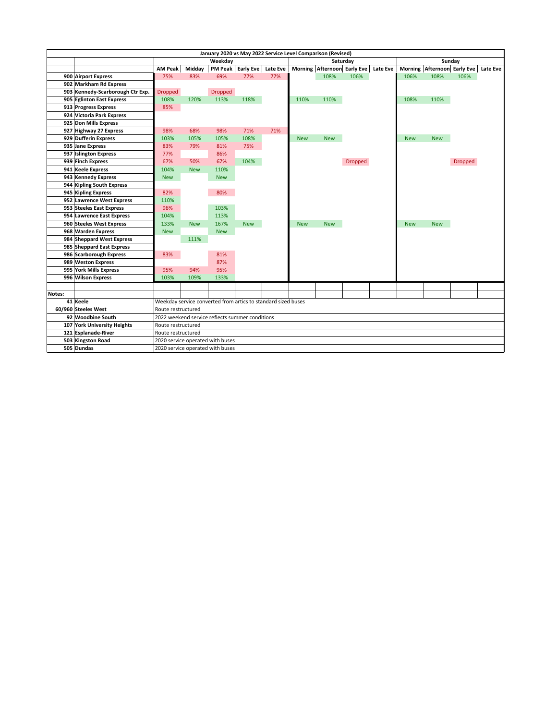|        | January 2020 vs May 2022 Service Level Comparison (Revised) |                                                               |            |                   |            |          |            |                             |                |          |            |                             |                |          |
|--------|-------------------------------------------------------------|---------------------------------------------------------------|------------|-------------------|------------|----------|------------|-----------------------------|----------------|----------|------------|-----------------------------|----------------|----------|
|        |                                                             | Weekday                                                       |            |                   |            |          |            | Saturday                    |                |          |            | Sunday                      |                |          |
|        |                                                             | <b>AM Peak</b>                                                | Midday     | PM Peak Early Eve |            | Late Eve |            | Morning Afternoon Early Eve |                | Late Eve |            | Morning Afternoon Early Eve |                | Late Eve |
|        | 900 Airport Express                                         | 75%                                                           | 83%        | 69%               | 77%        | 77%      |            | 108%                        | 106%           |          | 106%       | 108%                        | 106%           |          |
|        | 902 Markham Rd Express                                      |                                                               |            |                   |            |          |            |                             |                |          |            |                             |                |          |
|        | 903 Kennedy-Scarborough Ctr Exp.                            | <b>Dropped</b>                                                |            | <b>Dropped</b>    |            |          |            |                             |                |          |            |                             |                |          |
|        | 905 Eglinton East Express                                   | 108%                                                          | 120%       | 113%              | 118%       |          | 110%       | 110%                        |                |          | 108%       | 110%                        |                |          |
|        | 913 Progress Express                                        | 85%                                                           |            |                   |            |          |            |                             |                |          |            |                             |                |          |
|        | 924 Victoria Park Express                                   |                                                               |            |                   |            |          |            |                             |                |          |            |                             |                |          |
|        | 925 Don Mills Express                                       |                                                               |            |                   |            |          |            |                             |                |          |            |                             |                |          |
|        | 927 Highway 27 Express                                      | 98%                                                           | 68%        | 98%               | 71%        | 71%      |            |                             |                |          |            |                             |                |          |
|        | 929 Dufferin Express                                        | 103%                                                          | 105%       | 105%              | 108%       |          | <b>New</b> | <b>New</b>                  |                |          | <b>New</b> | <b>New</b>                  |                |          |
|        | 935 Jane Express                                            | 83%                                                           | 79%        | 81%               | 75%        |          |            |                             |                |          |            |                             |                |          |
|        | 937 Islington Express                                       | 77%                                                           |            | 86%               |            |          |            |                             |                |          |            |                             |                |          |
|        | 939 Finch Express                                           | 67%                                                           | 50%        | 67%               | 104%       |          |            |                             | <b>Dropped</b> |          |            |                             | <b>Dropped</b> |          |
|        | 941 Keele Express                                           | 104%                                                          | <b>New</b> | 110%              |            |          |            |                             |                |          |            |                             |                |          |
|        | 943 Kennedy Express                                         | <b>New</b>                                                    |            | <b>New</b>        |            |          |            |                             |                |          |            |                             |                |          |
|        | 944 Kipling South Express                                   |                                                               |            |                   |            |          |            |                             |                |          |            |                             |                |          |
|        | 945 Kipling Express                                         | 82%                                                           |            | 80%               |            |          |            |                             |                |          |            |                             |                |          |
|        | 952 Lawrence West Express                                   | 110%                                                          |            |                   |            |          |            |                             |                |          |            |                             |                |          |
|        | 953 Steeles East Express                                    | 96%                                                           |            | 103%              |            |          |            |                             |                |          |            |                             |                |          |
|        | 954 Lawrence East Express                                   | 104%                                                          |            | 113%              |            |          |            |                             |                |          |            |                             |                |          |
|        | 960 Steeles West Express                                    | 133%                                                          | <b>New</b> | 167%              | <b>New</b> |          | <b>New</b> | <b>New</b>                  |                |          | <b>New</b> | <b>New</b>                  |                |          |
|        | 968 Warden Express                                          | <b>New</b>                                                    |            | <b>New</b>        |            |          |            |                             |                |          |            |                             |                |          |
|        | 984 Sheppard West Express                                   |                                                               | 111%       |                   |            |          |            |                             |                |          |            |                             |                |          |
|        | 985 Sheppard East Express                                   |                                                               |            |                   |            |          |            |                             |                |          |            |                             |                |          |
|        | 986 Scarborough Express                                     | 83%                                                           |            | 81%               |            |          |            |                             |                |          |            |                             |                |          |
|        | 989 Weston Express                                          |                                                               |            | 87%               |            |          |            |                             |                |          |            |                             |                |          |
|        | 995 York Mills Express                                      | 95%                                                           | 94%        | 95%               |            |          |            |                             |                |          |            |                             |                |          |
|        | 996 Wilson Express                                          | 103%                                                          | 109%       | 133%              |            |          |            |                             |                |          |            |                             |                |          |
|        |                                                             |                                                               |            |                   |            |          |            |                             |                |          |            |                             |                |          |
| Notes: |                                                             |                                                               |            |                   |            |          |            |                             |                |          |            |                             |                |          |
|        | 41 Keele                                                    | Weekday service converted from artics to standard sized buses |            |                   |            |          |            |                             |                |          |            |                             |                |          |
|        | 60/960 Steeles West                                         | Route restructured                                            |            |                   |            |          |            |                             |                |          |            |                             |                |          |
|        | 92 Woodbine South                                           | 2022 weekend service reflects summer conditions               |            |                   |            |          |            |                             |                |          |            |                             |                |          |
|        | 107 York University Heights                                 | Route restructured                                            |            |                   |            |          |            |                             |                |          |            |                             |                |          |
|        | 121 Esplanade-River                                         | Route restructured                                            |            |                   |            |          |            |                             |                |          |            |                             |                |          |
|        | 503 Kingston Road                                           | 2020 service operated with buses                              |            |                   |            |          |            |                             |                |          |            |                             |                |          |
|        | 505 Dundas                                                  | 2020 service operated with buses                              |            |                   |            |          |            |                             |                |          |            |                             |                |          |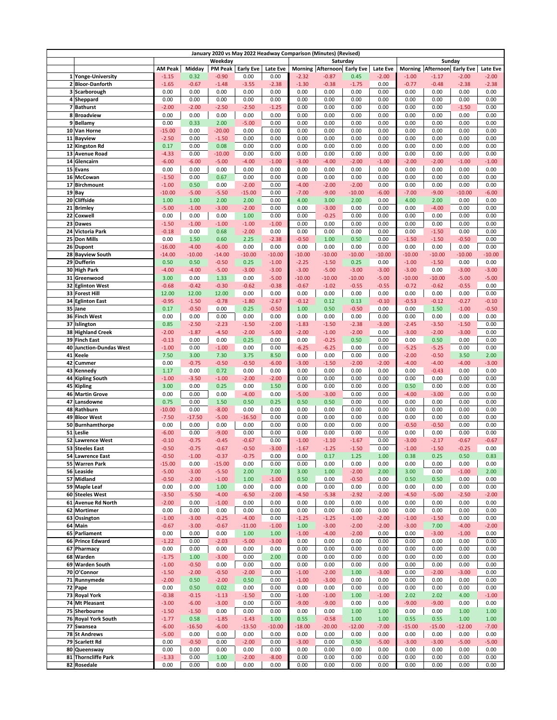|          | January 2020 vs May 2022 Headway Comparison (Minutes) (Revised) |                     |                  |                    |                  |                 |                 |                 |                             |                 |                 |                             |                 |                 |
|----------|-----------------------------------------------------------------|---------------------|------------------|--------------------|------------------|-----------------|-----------------|-----------------|-----------------------------|-----------------|-----------------|-----------------------------|-----------------|-----------------|
|          |                                                                 |                     |                  | Weekdav            |                  |                 |                 |                 | Saturday                    |                 |                 |                             | Sunday          |                 |
|          |                                                                 | <b>AM Peak</b>      | Midday           | <b>PM Peak</b>     | <b>Early Eve</b> | <b>Late Eve</b> |                 |                 | Morning Afternoon Early Eve | Late Eve        |                 | Morning Afternoon Early Eve |                 | <b>Late Eve</b> |
|          | 1 Yonge-University                                              | $-1.15$             | 0.32             | $-0.90$            | 0.00             | 0.00            | $-2.32$         | $-0.87$         | 0.45                        | $-2.00$         | $-1.00$         | $-1.17$                     | $-2.00$         | $-2.00$         |
|          | 2 Bloor-Danforth<br>3 Scarborough                               | $-1.65$<br>0.00     | $-0.67$<br>0.00  | $-1.48$<br>0.00    | $-3.55$<br>0.00  | $-2.38$<br>0.00 | $-1.30$<br>0.00 | $-0.38$<br>0.00 | $-1.75$<br>0.00             | 0.00<br>0.00    | $-0.77$<br>0.00 | $-0.48$<br>0.00             | $-2.38$<br>0.00 | $-2.38$<br>0.00 |
|          | 4 Sheppard                                                      | 0.00                | 0.00             | 0.00               | 0.00             | 0.00            | 0.00            | 0.00            | 0.00                        | 0.00            | 0.00            | 0.00                        | 0.00            | 0.00            |
|          | 7 Bathurst                                                      | $-2.00$             | $-2.00$          | $-2.50$            | $-2.50$          | $-1.25$         | 0.00            | 0.00            | 0.00                        | 0.00            | 0.00            | 0.00                        | $-1.50$         | 0.00            |
|          | 8 Broadview                                                     | 0.00                | 0.00             | 0.00               | 0.00             | 0.00            | 0.00            | 0.00            | 0.00                        | 0.00            | 0.00            | 0.00                        | 0.00            | 0.00            |
|          | 9 Bellamy                                                       | 0.00                | 0.33             | 2.00               | $-5.00$          | 0.00            | 0.00            | 0.00            | 0.00                        | 0.00            | 0.00            | 0.00                        | 0.00            | 0.00            |
|          | 10 Van Horne                                                    | $-15.00$            | 0.00             | $-20.00$           | 0.00             | 0.00            | 0.00            | 0.00            | 0.00                        | 0.00            | 0.00            | 0.00                        | 0.00            | 0.00            |
| 11       | <b>Bayview</b>                                                  | $-2.50$             | 0.00             | $-1.50$            | 0.00             | 0.00            | 0.00            | 0.00            | 0.00                        | 0.00            | 0.00            | 0.00                        | 0.00            | 0.00            |
| 12       | Kingston Rd                                                     | 0.17                | 0.00             | 0.08               | 0.00             | 0.00            | 0.00            | 0.00            | 0.00                        | 0.00            | 0.00            | 0.00                        | 0.00            | 0.00            |
| 13       | <b>Avenue Road</b>                                              | $-4.33$             | 0.00             | $-10.00$           | 0.00             | 0.00            | 0.00            | 0.00            | 0.00                        | 0.00            | 0.00            | 0.00                        | 0.00            | 0.00            |
| 14       | Glencairn                                                       | $-6.00$             | $-6.00$          | $-5.00$            | $-4.00$          | $-1.00$         | $-3.00$         | $-4.00$         | $-2.00$                     | $-1.00$         | $-2.00$         | $-2.00$                     | $-1.00$         | $-1.00$         |
| 15       | Evans                                                           | 0.00                | 0.00             | 0.00               | 0.00             | 0.00            | 0.00            | 0.00            | 0.00                        | 0.00            | 0.00            | 0.00                        | 0.00            | 0.00            |
|          | 16 McCowan                                                      | $-1.50$             | 0.00             | 0.67               | 0.00             | 0.00            | 0.00            | 0.00            | 0.00                        | 0.00            | 0.00            | 0.00                        | 0.00            | 0.00            |
| 17       | <b>Birchmount</b>                                               | $-1.00$             | 0.50             | 0.00               | $-2.00$          | 0.00            | $-4.00$         | $-2.00$         | $-2.00$                     | 0.00            | 0.00            | 0.00                        | 0.00            | 0.00            |
|          | 19 Bay                                                          | $-10.00$            | $-5.00$          | $-5.50$            | $-15.00$         | 0.00            | $-7.00$         | $-9.00$         | $-10.00$                    | $-6.00$         | $-7.00$         | $-9.00$                     | $-10.00$        | $-6.00$         |
| 20<br>21 | Cliffside<br><b>Brimley</b>                                     | 1.00<br>$-5.00$     | 1.00<br>$-1.00$  | 2.00<br>$-3.00$    | 2.00<br>$-2.00$  | 0.00<br>0.00    | 4.00<br>0.00    | 3.00<br>$-3.00$ | 2.00<br>0.00                | 0.00<br>0.00    | 4.00<br>0.00    | 2.00<br>$-4.00$             | 0.00<br>0.00    | 0.00<br>0.00    |
| 22       | Coxwell                                                         | 0.00                | 0.00             | 0.00               | 1.00             | 0.00            | 0.00            | $-0.25$         | 0.00                        | 0.00            | 0.00            | 0.00                        | 0.00            | 0.00            |
| 23       | <b>Dawes</b>                                                    | $-1.50$             | $-1.00$          | $-1.00$            | $-1.00$          | $-1.00$         | 0.00            | 0.00            | 0.00                        | 0.00            | 0.00            | 0.00                        | 0.00            | 0.00            |
| 24       | Victoria Park                                                   | $-0.18$             | 0.00             | 0.68               | $-2.00$          | 0.00            | 0.00            | 0.00            | 0.00                        | 0.00            | 0.00            | $-1.50$                     | 0.00            | 0.00            |
| 25       | <b>Don Mills</b>                                                | 0.00                | 1.50             | 0.60               | 2.25             | $-2.38$         | $-0.50$         | 1.00            | 0.50                        | 0.00            | $-1.50$         | $-1.50$                     | $-0.50$         | 0.00            |
|          | 26 Dupont                                                       | $-16.00$            | $-4.00$          | $-6.00$            | 0.00             | 0.00            | 0.00            | 0.00            | 0.00                        | 0.00            | 0.00            | 0.00                        | 0.00            | 0.00            |
| 28       | <b>Bayview South</b>                                            | $-14.00$            | $-10.00$         | $-14.00$           | $-10.00$         | $-10.00$        | $-10.00$        | $-10.00$        | $-10.00$                    | $-10.00$        | $-10.00$        | $-10.00$                    | $-10.00$        | $-10.00$        |
|          | 29 Dufferin                                                     | 0.50                | 0.50             | $-0.50$            | 0.25             | $-1.00$         | $-2.25$         | $-1.50$         | 0.25                        | 0.00            | $-1.00$         | $-1.50$                     | 0.00            | 0.00            |
|          | 30 High Park                                                    | $-4.00$             | $-4.00$          | $-5.00$            | $-3.00$          | $-3.00$         | $-3.00$         | $-5.00$         | $-3.00$                     | $-3.00$         | $-3.00$         | 0.00                        | $-3.00$         | $-3.00$         |
| 31       | Greenwood                                                       | 3.00                | 0.00             | 1.33               | 0.00             | $-5.00$         | $-10.00$        | $-10.00$        | $-10.00$                    | $-5.00$         | $-10.00$        | $-10.00$                    | $-5.00$         | $-5.00$         |
| 32       | <b>Eglinton West</b>                                            | $-0.68$             | $-0.42$          | $-0.30$            | $-0.62$          | $-0.38$         | $-0.67$         | $-1.02$         | $-0.55$                     | $-0.55$         | $-0.72$         | $-0.62$                     | $-0.55$         | 0.00            |
| 33       | <b>Forest Hill</b>                                              | 12.00               | 12.00            | 12.00              | 0.00             | 0.00            | 0.00            | 0.00            | 0.00                        | 0.00            | 0.00            | 0.00                        | 0.00            | 0.00            |
| 34       | <b>Eglinton East</b>                                            | $-0.95$             | $-1.50$          | $-0.78$            | $-1.80$          | $-2.67$         | $-0.12$         | 0.12            | 0.13                        | $-0.10$         | $-0.53$         | $-0.12$                     | $-0.27$         | $-0.10$         |
| 35       | Jane                                                            | 0.17                | $-0.50$          | 0.00               | 0.25             | $-0.50$         | 1.00            | 0.50            | $-0.50$                     | 0.00            | 0.00            | 1.50                        | $-1.00$         | $-0.50$         |
| 36<br>37 | <b>Finch West</b><br>Islington                                  | 0.00<br>0.85        | 0.00<br>$-2.50$  | 0.00<br>$-2.23$    | 0.00<br>$-1.50$  | 0.00<br>$-2.00$ | 0.00<br>$-1.83$ | 0.00<br>$-1.50$ | 0.00<br>$-2.38$             | 0.00<br>$-3.00$ | 0.00<br>$-2.45$ | 0.00<br>$-3.50$             | 0.00<br>$-1.50$ | 0.00<br>0.00    |
| 38       | <b>Highland Creek</b>                                           | $-2.00$             | $-1.87$          | $-4.50$            | $-2.00$          | $-5.00$         | $-2.00$         | $-1.00$         | $-2.00$                     | 0.00            | $-3.00$         | $-2.00$                     | $-3.00$         | 0.00            |
| 39       | <b>Finch East</b>                                               | $-0.13$             | 0.00             | 0.00               | 0.25             | 0.00            | 0.00            | $-0.25$         | 0.50                        | 0.00            | 0.00            | 0.50                        | 0.00            | 0.00            |
| 40       | <b>Junction-Dundas West</b>                                     | $-1.00$             | 0.00             | $-1.00$            | 0.00             | 0.00            | $-6.25$         | $-6.25$         | 0.00                        | 0.00            | $-5.25$         | $-5.25$                     | 0.00            | 0.00            |
| 41       | Keele                                                           | 7.50                | 3.00             | 7.30               | 3.75             | 8.50            | 0.00            | 0.00            | 0.00                        | 0.00            | $-2.00$         | $-0.50$                     | 3.50            | 2.00            |
| 42       | Cummer                                                          | 0.00                | $-0.75$          | $-0.50$            | $-0.50$          | $-6.00$         | $-3.00$         | $-1.50$         | $-2.00$                     | $-2.00$         | $-4.00$         | $-4.00$                     | $-4.00$         | $-3.00$         |
| 43       | Kennedy                                                         | 1.17                | 0.00             | 0.72               | 0.00             | 0.00            | 0.00            | 0.00            | 0.00                        | 0.00            | 0.00            | $-0.43$                     | 0.00            | 0.00            |
| 44       | Kipling South                                                   | $-1.00$             | $-3.50$          | $-1.00$            | $-2.00$          | $-2.00$         | 0.00            | 0.00            | 0.00                        | 0.00            | 0.00            | 0.00                        | 0.00            | 0.00            |
| 45       | Kipling                                                         | 3.00                | 0.00             | 0.25               | 0.00             | 1.50            | 0.00            | 0.00            | 0.00                        | 0.00            | 0.50            | 0.00                        | 0.00            | 0.00            |
| 46       | <b>Martin Grove</b>                                             | 0.00                | 0.00             | 0.00               | $-4.00$          | 0.00            | $-5.00$         | $-3.00$         | 0.00                        | 0.00            | $-4.00$         | $-3.00$                     | 0.00            | 0.00            |
| 47       | Lansdowne                                                       | 0.75                | 0.00             | 1.50               | 0.50             | 0.25            | 0.50            | 0.50            | 0.00                        | 0.00            | 0.00            | 0.00                        | 0.00            | 0.00            |
| 48<br>49 | Rathburn<br><b>Bloor West</b>                                   | $-10.00$<br>$-7.50$ | 0.00<br>$-17.50$ | $-8.00$<br>$-5.00$ | 0.00<br>$-16.50$ | 0.00<br>0.00    | 0.00<br>0.00    | 0.00<br>0.00    | 0.00<br>0.00                | 0.00<br>0.00    | 0.00<br>0.00    | 0.00<br>0.00                | 0.00<br>0.00    | 0.00<br>0.00    |
| 50       | <b>Burnhamthorpe</b>                                            | 0.00                | 0.00             | 0.00               | 0.00             | 0.00            | 0.00            | 0.00            | 0.00                        | 0.00            | $-0.50$         | $-0.50$                     | 0.00            | 0.00            |
| 51       | Leslie                                                          | $-6.00$             | 0.00             | $-9.00$            | 0.00             | 0.00            | 0.00            | 0.00            | 0.00                        | 0.00            | 0.00            | 0.00                        | 0.00            | 0.00            |
| 52       | <b>Lawrence West</b>                                            | $-0.10$             | $-0.75$          | $-0.45$            | $-0.67$          | 0.00            | $-1.00$         | $-1.10$         | $-1.67$                     | 0.00            | $-3.00$         | $-2.17$                     | $-0.67$         | $-0.67$         |
| 53       | <b>Steeles East</b>                                             | $-0.50$             | $-0.75$          | $-0.67$            | $-0.50$          | $-3.00$         | $-1.67$         | $-1.25$         | $-1.50$                     | 0.00            | $-1.00$         | $-1.50$                     | $-0.25$         | 0.00            |
| 54       | Lawrence East                                                   | $-0.50$             | $-1.00$          | $-0.37$            | $-0.75$          | 0.00            | 0.00            | 0.17            | 1.25                        | 1.00            | 0.38            | 0.25                        | 0.50            | 0.83            |
|          | 55 Warren Park                                                  | $-15.00$            | 0.00             | $-15.00$           | 0.00             | 0.00            | 0.00            | 0.00            | 0.00                        | 0.00            | 0.00            | 0.00                        | 0.00            | 0.00            |
|          | 56 Leaside                                                      | $-5.00$             | $-3.00$          | $-5.50$            | 2.00             | 7.00            | 3.00            | 1.00            | $-2.00$                     | 2.00            | 3.00            | 0.00                        | $-1.00$         | 2.00            |
|          | 57 Midland                                                      | $-0.50$             | $-2.00$          | $-1.00$            | 1.00             | $-1.00$         | 0.50            | 0.00            | $-0.50$                     | 0.00            | 0.50            | 0.50                        | 0.00            | 0.00            |
|          | 59 Maple Leaf<br>60 Steeles West                                | 0.00                | 0.00             | 1.00               | 0.00             | 0.00            | 0.00            | 0.00            | 0.00                        | 0.00            | 0.00<br>$-4.50$ | 0.00                        | 0.00            | 0.00            |
|          | 61 Avenue Rd North                                              | $-3.50$<br>$-2.00$  | $-5.50$<br>0.00  | $-4.00$<br>$-1.00$ | $-6.50$<br>0.00  | $-2.00$<br>0.00 | $-4.50$<br>0.00 | $-5.38$<br>0.00 | $-2.92$<br>0.00             | $-2.00$<br>0.00 | 0.00            | $-5.00$<br>0.00             | $-2.50$<br>0.00 | $-2.00$<br>0.00 |
|          | 62 Mortimer                                                     | 0.00                | 0.00             | 0.00               | 0.00             | 0.00            | 0.00            | 0.00            | 0.00                        | 0.00            | 0.00            | 0.00                        | 0.00            | 0.00            |
|          | 63 Ossington                                                    | $-1.00$             | $-3.00$          | $-0.25$            | $-4.00$          | 0.00            | $-1.25$         | $-1.25$         | $-1.00$                     | $-2.00$         | $-1.00$         | $-1.50$                     | 0.00            | 0.00            |
|          | 64 Main                                                         | $-0.67$             | $-3.00$          | $-0.67$            | $-11.00$         | $-1.00$         | 1.00            | $-3.00$         | $-2.00$                     | $-2.00$         | $-3.00$         | 7.00                        | $-4.00$         | $-2.00$         |
|          | 65 Parliament                                                   | 0.00                | 0.00             | 0.00               | 1.00             | 1.00            | $-1.00$         | $-4.00$         | $-2.00$                     | 0.00            | 0.00            | $-3.00$                     | $-1.00$         | 0.00            |
|          | 66 Prince Edward                                                | $-1.22$             | 0.00             | $-2.03$            | $-5.00$          | $-3.00$         | 0.00            | 0.00            | 0.00                        | 0.00            | 0.00            | 0.00                        | 0.00            | 0.00            |
|          | 67 Pharmacy                                                     | 0.00                | 0.00             | 0.00               | 0.00             | 0.00            | 0.00            | 0.00            | 0.00                        | 0.00            | 0.00            | 0.00                        | 0.00            | 0.00            |
|          | 68 Warden                                                       | $-1.75$             | 1.00             | $-3.00$            | 0.00             | 2.00            | 0.00            | 0.00            | 0.00                        | 0.00            | 0.00            | 0.00                        | 0.00            | 0.00            |
|          | 69 Warden South                                                 | $-1.00$             | $-0.50$          | 0.00               | 0.00             | 0.00            | 0.00            | 0.00            | 0.00                        | 0.00            | 0.00            | 0.00                        | 0.00            | 0.00            |
|          | 70 O'Connor                                                     | $-1.50$             | $-2.00$          | $-0.50$            | $-2.00$          | 0.00            | $-1.00$         | $-2.00$         | $1.00\,$                    | $-3.00$         | 0.00            | $-2.00$                     | $-3.00$         | 0.00            |
|          | 71 Runnymede<br>72 Pape                                         | $-2.00$<br>0.00     | 0.50<br>0.50     | $-2.00$<br>0.02    | 0.50<br>0.00     | 0.00<br>0.00    | $-1.00$<br>0.00 | $-3.00$<br>0.00 | 0.00<br>0.00                | 0.00<br>0.00    | 0.00<br>0.00    | 0.00<br>0.00                | 0.00<br>0.00    | 0.00<br>0.00    |
|          | 73 Royal York                                                   | $-0.38$             | $-0.15$          | $-1.13$            | $-1.50$          | 0.00            | $-1.00$         | $-1.00$         | 1.00                        | $-1.00$         | 2.02            | 2.02                        | 4.00            | $-1.00$         |
|          | 74 Mt Pleasant                                                  | $-3.00$             | $-6.00$          | $-3.00$            | 0.00             | 0.00            | $-9.00$         | $-9.00$         | 0.00                        | 0.00            | $-9.00$         | $-9.00$                     | 0.00            | 0.00            |
|          | 75 Sherbourne                                                   | $-1.50$             | $-1.50$          | 0.00               | 0.00             | 0.00            | 0.00            | 0.00            | 1.00                        | 1.00            | 0.00            | 0.00                        | 1.00            | 1.00            |
|          | 76 Royal York South                                             | $-1.77$             | 0.58             | $-1.85$            | $-1.43$          | 1.00            | 0.55            | $-0.58$         | 1.00                        | 1.00            | 0.55            | 0.55                        | 1.00            | 1.00            |
|          | 77 Swansea                                                      | $-6.00$             | $-16.50$         | $-6.00$            | $-13.50$         | $-10.00$        | $-18.00$        | $-20.00$        | $-12.00$                    | $-7.00$         | $-15.00$        | $-15.00$                    | $-12.00$        | $-7.00$         |
|          | 78 St Andrews                                                   | $-5.00$             | 0.00             | 0.00               | 0.00             | 0.00            | 0.00            | 0.00            | 0.00                        | 0.00            | 0.00            | 0.00                        | 0.00            | 0.00            |
|          | 79 Scarlett Rd                                                  | 0.00                | $-0.50$          | 0.00               | $-2.00$          | 0.00            | $-3.00$         | 0.00            | 0.50                        | $-5.00$         | $-3.00$         | $-3.00$                     | $-5.00$         | $-5.00$         |
|          | 80 Queensway                                                    | 0.00                | 0.00             | 0.00               | 0.00             | 0.00            | 0.00            | 0.00            | 0.00                        | 0.00            | 0.00            | 0.00                        | 0.00            | 0.00            |
| 81       | <b>Thorncliffe Park</b>                                         | $-1.33$             | 0.00             | 1.00               | $-2.00$          | $-8.00$         | 0.00            | 0.00            | 0.00                        | 0.00            | 0.00            | 0.00                        | 0.00            | 0.00            |
|          | 82 Rosedale                                                     | 0.00                | 0.00             | 0.00               | 0.00             | 0.00            | 0.00            | 0.00            | 0.00                        | 0.00            | 0.00            | 0.00                        | 0.00            | 0.00            |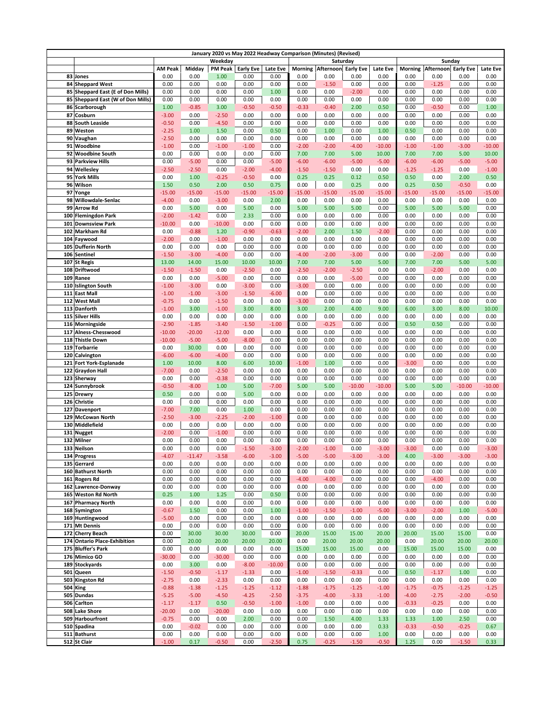|     |                                                    |                     |                    | January 2020 vs May 2022 Headway Comparison (Minutes) (Revised) |                    |                 |                 |                 |                             |                  |                 |                 |                  |                  |
|-----|----------------------------------------------------|---------------------|--------------------|-----------------------------------------------------------------|--------------------|-----------------|-----------------|-----------------|-----------------------------|------------------|-----------------|-----------------|------------------|------------------|
|     |                                                    |                     |                    | Weekday                                                         |                    |                 |                 |                 | Saturday                    |                  |                 |                 | Sunday           |                  |
|     |                                                    | <b>AM Peak</b>      | Midday             | <b>PM Peak</b>                                                  | <b>Early Eve</b>   | <b>Late Eve</b> |                 |                 | Morning Afternoon Early Eve | Late Eve         | Morning         | Afternoon       | <b>Early Eve</b> | Late Eve         |
|     | 83 Jones<br>84 Sheppard West                       | 0.00<br>0.00        | 0.00<br>0.00       | 1.00<br>0.00                                                    | 0.00<br>0.00       | 0.00<br>0.00    | 0.00<br>0.00    | 0.00<br>$-1.50$ | 0.00<br>0.00                | 0.00<br>0.00     | 0.00<br>0.00    | 0.00<br>$-1.25$ | 0.00<br>0.00     | 0.00<br>0.00     |
|     | 85 Sheppard East (E of Don Mills)                  | 0.00                | 0.00               | 0.00                                                            | 0.00               | 1.00            | 0.00            | 0.00            | $-2.00$                     | 0.00             | 0.00            | 0.00            | 0.00             | 0.00             |
|     | 85 Sheppard East (W of Don Mills)                  | 0.00                | 0.00               | 0.00                                                            | 0.00               | 0.00            | 0.00            | 0.00            | 0.00                        | 0.00             | 0.00            | 0.00            | 0.00             | 0.00             |
| 86  | Scarborough                                        | 1.00                | $-0.85$            | 3.00                                                            | $-0.50$            | $-0.50$         | $-0.33$         | $-0.40$         | 2.00                        | 0.50             | 0.00            | $-0.50$         | 0.00             | 1.00             |
| 87  | Cosburn                                            | $-3.00$             | 0.00               | $-2.50$                                                         | 0.00               | 0.00            | 0.00            | 0.00            | 0.00                        | 0.00             | 0.00            | 0.00            | 0.00             | 0.00             |
| 88  | <b>South Leaside</b>                               | $-0.50$             | 0.00               | $-4.50$                                                         | 0.00               | 0.00            | 0.00            | 0.00            | 0.00                        | 0.00             | 0.00            | 0.00            | 0.00             | 0.00             |
| 89  | Weston                                             | $-2.25$             | 1.00               | 1.50                                                            | 0.00               | 0.50            | 0.00            | 1.00            | 0.00                        | 1.00             | 0.50            | 0.00            | 0.00             | 0.00             |
| 91  | 90 Vaughan<br>Woodbine                             | $-2.50$<br>$-1.00$  | 0.00<br>0.00       | 0.00<br>$-1.00$                                                 | 0.00<br>$-1.00$    | 0.00<br>0.00    | 0.00<br>$-2.00$ | 0.00<br>$-2.00$ | 0.00<br>$-4.00$             | 0.00<br>$-10.00$ | 0.00<br>$-1.00$ | 0.00<br>$-1.00$ | 0.00<br>$-3.00$  | 0.00<br>$-10.00$ |
|     | 92 Woodbine South                                  | 0.00                | 0.00               | 0.00                                                            | 0.00               | 0.00            | 7.00            | 7.00            | 5.00                        | 10.00            | 7.00            | 7.00            | 5.00             | 10.00            |
| 93  | <b>Parkview Hills</b>                              | 0.00                | $-5.00$            | 0.00                                                            | 0.00               | $-5.00$         | $-6.00$         | $-6.00$         | $-5.00$                     | $-5.00$          | $-6.00$         | $-6.00$         | $-5.00$          | $-5.00$          |
|     | 94 Wellesley                                       | $-2.50$             | $-2.50$            | 0.00                                                            | $-2.00$            | $-4.00$         | $-1.50$         | $-1.50$         | 0.00                        | 0.00             | $-1.25$         | $-1.25$         | 0.00             | $-1.00$          |
| 95  | <b>York Mills</b>                                  | 0.00                | 1.00               | $-0.25$                                                         | $-0.50$            | 0.00            | 0.25            | 0.25            | 0.12                        | 0.50             | 0.50            | 0.00            | 2.00             | 0.50             |
| 96  | Wilson                                             | 1.50                | 0.50               | 2.00                                                            | 0.50               | 0.75            | 0.00            | 0.00            | 0.25                        | 0.00             | 0.25            | 0.50            | $-0.50$          | 0.00             |
|     | 97 Yonge                                           | $-15.00$            | $-15.00$           | $-15.00$                                                        | $-15.00$           | $-15.00$        | $-15.00$        | $-15.00$        | $-15.00$                    | $-15.00$         | $-15.00$        | $-15.00$        | $-15.00$         | $-15.00$         |
| 98  | Willowdale-Senlac                                  | $-4.00$             | 0.00               | $-3.00$                                                         | 0.00               | 2.00            | 0.00            | 0.00            | 0.00                        | 0.00             | 0.00            | 0.00            | 0.00             | 0.00             |
|     | 99 Arrow Rd                                        | 0.00                | 5.00               | 0.00                                                            | 5.00               | 0.00            | 5.00            | 5.00            | 5.00                        | 0.00             | 5.00            | 5.00            | 5.00             | 0.00             |
| 101 | 100 Flemingdon Park<br><b>Downsview Park</b>       | $-2.00$<br>$-10.00$ | $-1.42$<br>0.00    | 0.00                                                            | 2.33<br>0.00       | 0.00<br>0.00    | 0.00<br>0.00    | 0.00<br>0.00    | 0.00<br>0.00                | 0.00<br>0.00     | 0.00<br>0.00    | 0.00<br>0.00    | 0.00<br>0.00     | 0.00<br>0.00     |
| 102 | <b>Markham Rd</b>                                  | 0.00                | $-0.88$            | $-10.00$<br>1.20                                                | $-0.90$            | $-0.63$         | $-2.00$         | 2.00            | 1.50                        | $-2.00$          | 0.00            | 0.00            | 0.00             | 0.00             |
| 104 | Faywood                                            | $-2.00$             | 0.00               | $-1.00$                                                         | 0.00               | 0.00            | 0.00            | 0.00            | 0.00                        | 0.00             | 0.00            | 0.00            | 0.00             | 0.00             |
| 105 | <b>Dufferin North</b>                              | 0.00                | 0.00               | 0.00                                                            | 0.00               | 0.00            | 0.00            | 0.00            | 0.00                        | 0.00             | 0.00            | 0.00            | 0.00             | 0.00             |
| 106 | Sentinel                                           | $-1.50$             | $-3.00$            | $-4.00$                                                         | 0.00               | 0.00            | $-4.00$         | $-2.00$         | $-3.00$                     | 0.00             | 0.00            | $-2.00$         | 0.00             | 0.00             |
|     | 107 St Regis                                       | 13.00               | 14.00              | 15.00                                                           | 10.00              | 10.00           | 7.00            | 7.00            | 5.00                        | 5.00             | 7.00            | 7.00            | 5.00             | 5.00             |
| 108 | Driftwood                                          | $-1.50$             | $-1.50$            | 0.00                                                            | $-2.50$            | 0.00            | $-2.50$         | $-2.00$         | $-2.50$                     | 0.00             | 0.00            | $-2.00$         | 0.00             | 0.00             |
| 109 | Ranee                                              | 0.00                | 0.00               | $-5.00$                                                         | 0.00               | 0.00            | 0.00            | 0.00            | $-5.00$                     | 0.00             | 0.00            | 0.00            | 0.00             | 0.00             |
|     | 110 Islington South<br>111 East Mall               | $-1.00$<br>$-1.00$  | $-3.00$<br>$-1.00$ | 0.00<br>$-3.00$                                                 | $-3.00$<br>$-1.50$ | 0.00<br>$-6.00$ | $-3.00$<br>0.00 | 0.00<br>0.00    | 0.00<br>0.00                | 0.00<br>0.00     | 0.00<br>0.00    | 0.00<br>0.00    | 0.00<br>0.00     | 0.00<br>0.00     |
|     | 112 West Mall                                      | $-0.75$             | 0.00               | $-1.50$                                                         | 0.00               | 0.00            | $-3.00$         | 0.00            | 0.00                        | 0.00             | 0.00            | 0.00            | 0.00             | 0.00             |
|     | 113 Danforth                                       | $-1.00$             | 3.00               | $-1.00$                                                         | 3.00               | 8.00            | 3.00            | 2.00            | 4.00                        | 9.00             | 6.00            | 3.00            | 8.00             | 10.00            |
|     | 115 Silver Hills                                   | 0.00                | 0.00               | 0.00                                                            | 0.00               | 0.00            | 0.00            | 0.00            | 0.00                        | 0.00             | 0.00            | 0.00            | 0.00             | 0.00             |
| 116 | Morningside                                        | $-2.90$             | $-1.85$            | $-3.40$                                                         | $-1.50$            | $-1.00$         | 0.00            | $-0.25$         | 0.00                        | 0.00             | 0.50            | 0.50            | 0.00             | 0.00             |
| 117 | Alness-Chesswood                                   | $-10.00$            | $-20.00$           | $-12.00$                                                        | 0.00               | 0.00            | 0.00            | 0.00            | 0.00                        | 0.00             | 0.00            | 0.00            | 0.00             | 0.00             |
|     | 118 Thistle Down                                   | $-10.00$            | $-5.00$            | $-5.00$                                                         | $-8.00$            | 0.00            | 0.00            | 0.00            | 0.00                        | 0.00             | 0.00            | 0.00            | 0.00             | 0.00             |
|     | 119 Torbarrie                                      | 0.00                | 30.00              | 0.00                                                            | 0.00               | 0.00            | 0.00            | 0.00            | 0.00                        | 0.00             | 0.00            | 0.00            | 0.00             | 0.00             |
|     | 120 Calvington<br>121 Fort York-Esplanade          | $-6.00$<br>1.00     | $-6.00$<br>10.00   | $-4.00$<br>8.00                                                 | 0.00<br>6.00       | 0.00<br>10.00   | 0.00<br>$-1.00$ | 0.00<br>1.00    | 0.00<br>0.00                | 0.00<br>0.00     | 0.00<br>$-3.00$ | 0.00<br>0.00    | 0.00<br>0.00     | 0.00<br>0.00     |
| 122 | <b>Graydon Hall</b>                                | $-7.00$             | 0.00               | $-2.50$                                                         | 0.00               | 0.00            | 0.00            | 0.00            | 0.00                        | 0.00             | 0.00            | 0.00            | 0.00             | 0.00             |
|     | 123 Sherway                                        | 0.00                | 0.00               | $-0.38$                                                         | 0.00               | 0.00            | 0.00            | 0.00            | 0.00                        | 0.00             | 0.00            | 0.00            | 0.00             | 0.00             |
| 124 | Sunnybrook                                         | $-0.50$             | $-8.00$            | 1.00                                                            | 5.00               | $-7.00$         | 5.00            | 5.00            | $-10.00$                    | $-10.00$         | 5.00            | 5.00            | $-10.00$         | $-10.00$         |
| 125 | <b>Drewry</b>                                      | 0.50                | 0.00               | 0.00                                                            | 5.00               | 0.00            | 0.00            | 0.00            | 0.00                        | 0.00             | 0.00            | 0.00            | 0.00             | 0.00             |
|     | 126 Christie                                       | 0.00                | 0.00               | 0.00                                                            | 0.00               | 0.00            | 0.00            | 0.00            | 0.00                        | 0.00             | 0.00            | 0.00            | 0.00             | 0.00             |
| 127 | Davenport                                          | $-7.00$             | 7.00               | 0.00                                                            | 1.00               | 0.00            | 0.00            | 0.00            | 0.00                        | 0.00             | 0.00            | 0.00            | 0.00             | 0.00             |
| 129 | <b>McCowan North</b><br>130 Middlefield            | $-2.50$<br>0.00     | $-3.00$<br>0.00    | $-2.25$<br>0.00                                                 | $-2.00$<br>0.00    | $-1.00$<br>0.00 | 0.00<br>0.00    | 0.00<br>0.00    | 0.00<br>0.00                | 0.00<br>0.00     | 0.00<br>0.00    | 0.00<br>0.00    | 0.00<br>0.00     | 0.00<br>0.00     |
|     | 131 Nugget                                         | $-2.00$             | 0.00               | $-1.00$                                                         | 0.00               | 0.00            | 0.00            | 0.00            | 0.00                        | 0.00             | 0.00            | 0.00            | 0.00             | 0.00             |
| 132 | <b>Milner</b>                                      | 0.00                | 0.00               | 0.00                                                            | 0.00               | 0.00            | 0.00            | 0.00            | 0.00                        | 0.00             | 0.00            | 0.00            | 0.00             | 0.00             |
|     | 133 Neilson                                        | 0.00                | 0.00               | 0.00                                                            | $-1.50$            | $-3.00$         | $-2.00$         | $-1.00$         | 0.00                        | $-3.00$          | $-3.00$         | 0.00            | 0.00             | $-3.00$          |
|     | 134 Progress                                       | $-4.07$             | $-11.47$           | $-3.58$                                                         | $-6.00$            | $-3.00$         | $-5.00$         | $-5.00$         | $-3.00$                     | $-3.00$          | 4.00            | $-3.00$         | $-3.00$          | $-3.00$          |
|     | 135 Gerrard                                        | 0.00                | 0.00               | 0.00                                                            | 0.00               | 0.00            | 0.00            | 0.00            | 0.00                        | 0.00             | 0.00            | 0.00            | 0.00             | 0.00             |
|     | 160 Bathurst North                                 | 0.00                | 0.00               | 0.00                                                            | 0.00               | 0.00            | 0.00            | 0.00            | 0.00                        | 0.00             | 0.00            | 0.00            | 0.00             | 0.00             |
|     | 161 Rogers Rd<br>162 Lawrence-Donway               | 0.00<br>0.00        | 0.00<br>0.00       | 0.00<br>0.00                                                    | 0.00<br>0.00       | 0.00<br>0.00    | $-4.00$<br>0.00 | $-4.00$<br>0.00 | 0.00<br>0.00                | 0.00<br>0.00     | 0.00<br>0.00    | $-4.00$<br>0.00 | 0.00<br>0.00     | 0.00<br>0.00     |
|     | 165 Weston Rd North                                | 0.25                | 1.00               | 1.25                                                            | 0.00               | 0.50            | 0.00            | 0.00            | 0.00                        | 0.00             | 0.00            | 0.00            | 0.00             | 0.00             |
|     | 167 Pharmacy North                                 | 0.00                | 0.00               | 0.00                                                            | 0.00               | 0.00            | 0.00            | 0.00            | 0.00                        | 0.00             | 0.00            | 0.00            | 0.00             | 0.00             |
|     | 168 Symington                                      | $-0.67$             | 1.50               | 0.00                                                            | 0.00               | 1.00            | $-1.00$         | $-1.50$         | $-1.00$                     | $-5.00$          | $-3.00$         | $-2.00$         | 1.00             | $-5.00$          |
|     | 169 Huntingwood                                    | $-5.00$             | 0.00               | 0.00                                                            | 0.00               | 0.00            | 0.00            | 0.00            | 0.00                        | 0.00             | 0.00            | 0.00            | 0.00             | 0.00             |
|     | 171 Mt Dennis                                      | 0.00                | 0.00               | 0.00                                                            | 0.00               | 0.00            | 0.00            | 0.00            | 0.00                        | 0.00             | 0.00            | 0.00            | 0.00             | 0.00             |
|     | 172 Cherry Beach                                   | 0.00                | 30.00              | 30.00                                                           | 30.00              | 0.00            | 20.00           | 15.00           | 15.00                       | 20.00            | 20.00           | 15.00           | 15.00            | 0.00             |
|     | 174 Ontario Place-Exhibition<br>175 Bluffer's Park | 0.00<br>0.00        | 20.00<br>0.00      | 20.00<br>0.00                                                   | 20.00<br>0.00      | 20.00<br>0.00   | 0.00<br>15.00   | 20.00<br>15.00  | 20.00<br>15.00              | 20.00<br>0.00    | 0.00<br>15.00   | 20.00<br>15.00  | 20.00<br>15.00   | 20.00<br>0.00    |
|     | 176 Mimico GO                                      | $-30.00$            | 0.00               | $-30.00$                                                        | 0.00               | 0.00            | 0.00            | 0.00            | 0.00                        | 0.00             | 0.00            | 0.00            | 0.00             | 0.00             |
|     | 189 Stockyards                                     | 0.00                | 3.00               | 0.00                                                            | $-8.00$            | $-10.00$        | 0.00            | 0.00            | 0.00                        | 0.00             | 0.00            | 0.00            | 0.00             | 0.00             |
|     | 501 Queen                                          | $-1.50$             | $-0.50$            | $-1.17$                                                         | $-1.33$            | 0.00            | $-1.00$         | $-1.50$         | $-0.33$                     | 0.00             | 0.50            | $-1.17$         | 1.00             | 0.00             |
|     | 503 Kingston Rd                                    | $-2.75$             | 0.00               | $-2.33$                                                         | 0.00               | 0.00            | 0.00            | 0.00            | 0.00                        | 0.00             | 0.00            | 0.00            | 0.00             | 0.00             |
|     | 504 King                                           | $-0.88$             | $-1.38$            | $-1.25$                                                         | $-1.25$            | $-1.12$         | $-1.88$         | $-1.75$         | $-1.25$                     | $-1.00$          | $-1.75$         | $-0.75$         | $-1.25$          | $-1.25$          |
|     | 505 Dundas                                         | $-5.25$             | $-5.00$            | $-4.50$                                                         | $-4.25$            | $-2.50$         | $-3.75$         | $-4.00$         | $-3.33$                     | $-1.00$          | $-4.00$         | $-2.75$         | $-2.00$          | $-0.50$          |
|     | 506 Carlton                                        | $-1.17$             | $-1.17$            | 0.50                                                            | $-0.50$            | $-1.00$         | $-1.00$         | 0.00            | 0.00                        | 0.00             | $-0.33$         | $-0.25$         | 0.00             | 0.00             |
|     | 508 Lake Shore<br>509 Harbourfront                 | $-20.00$<br>$-0.75$ | 0.00<br>0.00       | $-20.00$<br>0.00                                                | 0.00<br>2.00       | 0.00<br>0.00    | 0.00<br>0.00    | 0.00<br>1.50    | 0.00<br>4.00                | 0.00<br>1.33     | 0.00<br>1.33    | 0.00<br>1.00    | 0.00<br>2.50     | 0.00<br>0.00     |
|     | 510 Spadina                                        | 0.00                | $-0.02$            | 0.00                                                            | 0.00               | 0.00            | 0.00            | 0.00            | 0.00                        | 0.33             | $-0.33$         | $-0.50$         | $-0.25$          | 0.67             |
|     | 511 Bathurst                                       | 0.00                | 0.00               | 0.00                                                            | 0.00               | 0.00            | 0.00            | 0.00            | 0.00                        | 1.00             | 0.00            | 0.00            | 0.00             | 0.00             |
|     | 512 St Clair                                       | $-1.00$             | 0.17               | $-0.50$                                                         | 0.00               | $-2.50$         | 0.75            | $-0.25$         | $-1.50$                     | $-0.50$          | 1.25            | 0.00            | $-1.50$          | 0.33             |